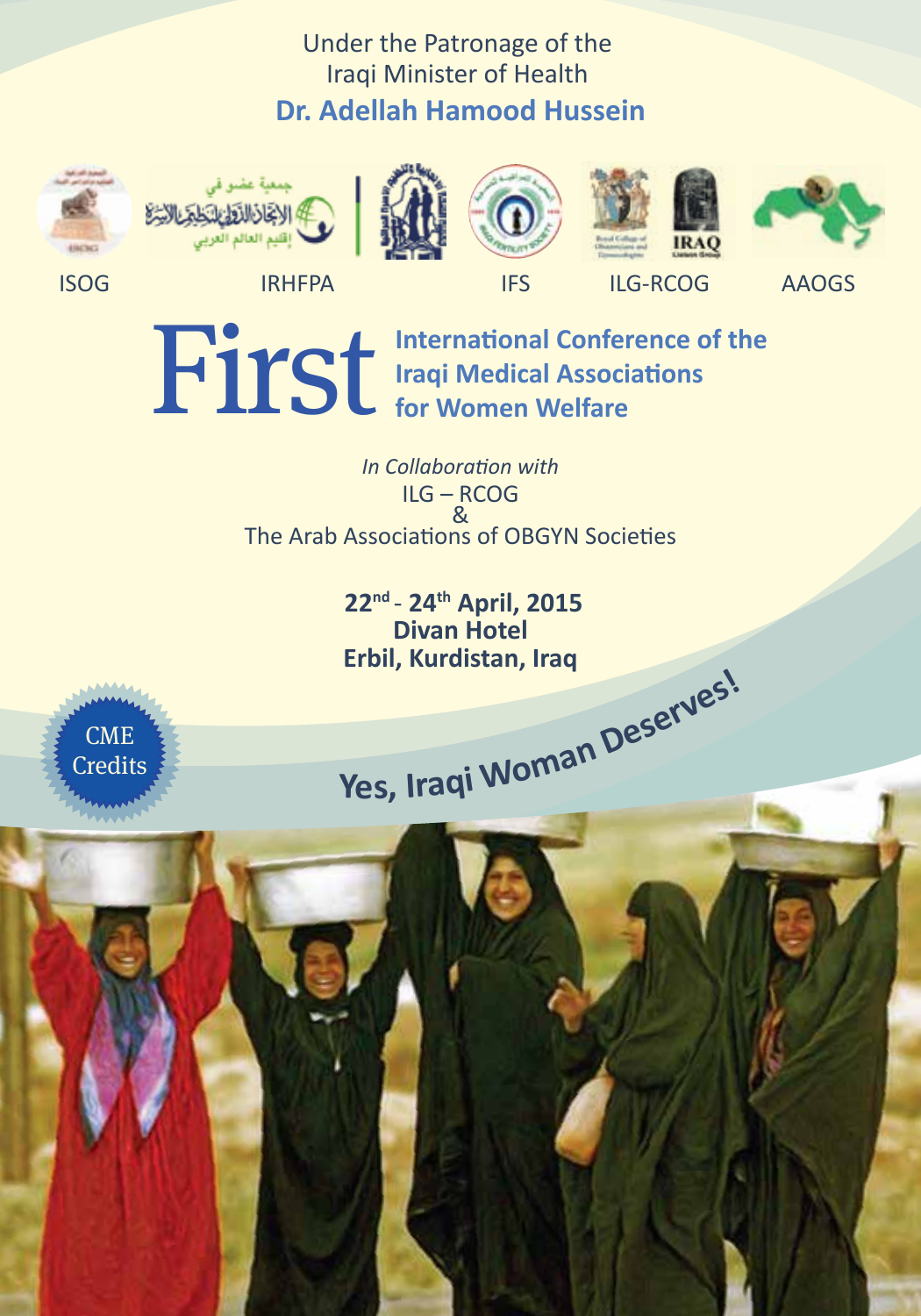# Under the Patronage of the Iraqi Minister of Health **Dr. Adellah Hamood Hussein**















**ISOG IRHFPA** IFS ILG-RCOG AAOGS

**First** International Conference of the Iraqi Medical Associations<br>for Women Welfare **Iraqi Medical Associations for Women Welfare**

> *In Collaboration with* ILG – RCOG & The Arab Associations of OBGYN Societies

> > **22nd** - **24th April, 2015 Divan Hotel Erbil, Kurdistan, Iraq**



External **Property Credits**  $\frac{1}{2}$  **Yes, Iraqi** Woman Deserves!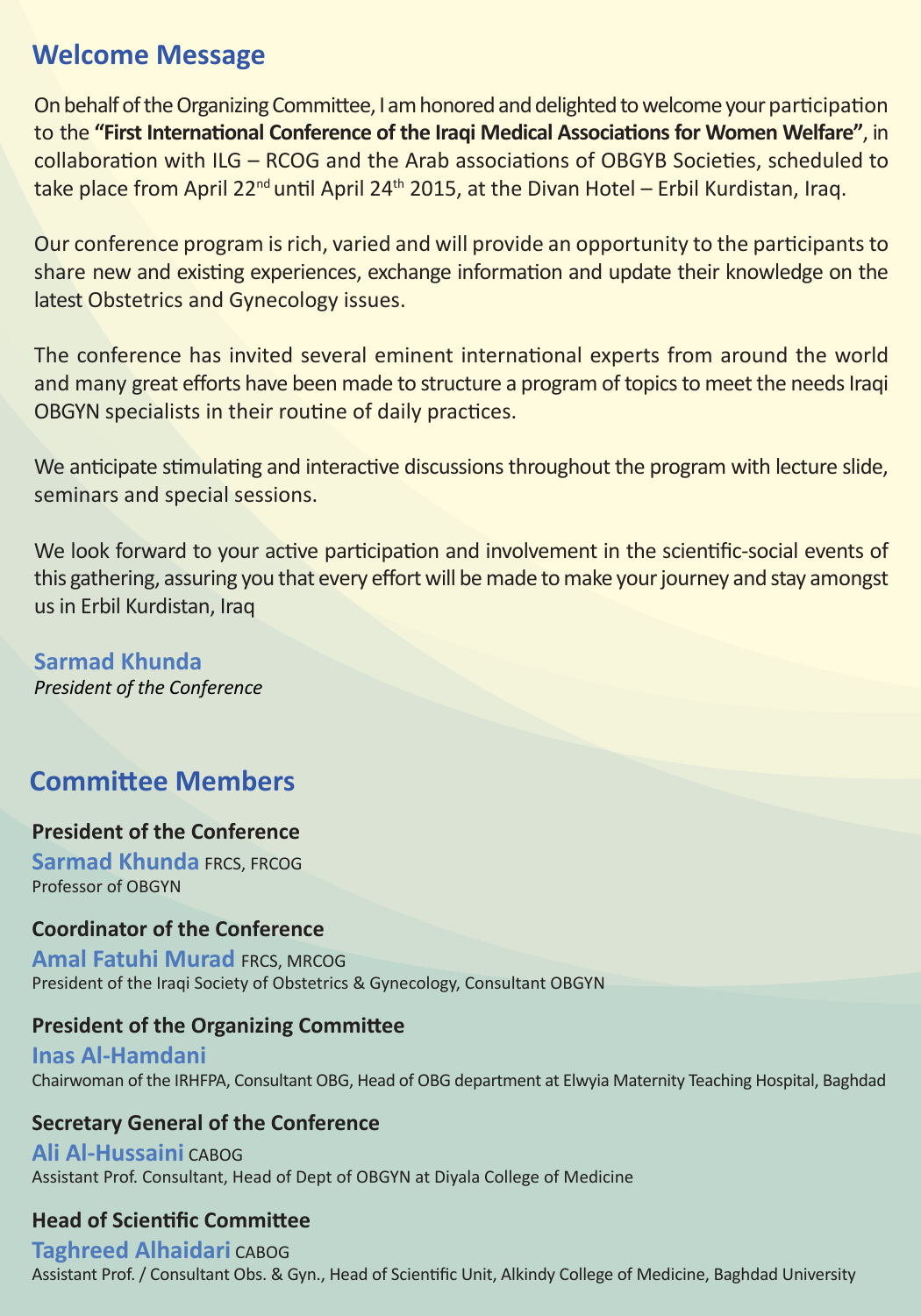# **Welcome Message**

On behalf of the Organizing Committee, I am honored and delighted to welcome your participation to the **"First International Conference of the Iraqi Medical Associations for Women Welfare"**, in collaboration with ILG – RCOG and the Arab associations of OBGYB Societies, scheduled to take place from April 22<sup>nd</sup> until April 24<sup>th</sup> 2015, at the Divan Hotel – Erbil Kurdistan, Iraq.

Our conference program is rich, varied and will provide an opportunity to the participants to share new and existing experiences, exchange information and update their knowledge on the latest Obstetrics and Gynecology issues.

The conference has invited several eminent international experts from around the world and many great efforts have been made to structure a program of topics to meet the needs Iraqi OBGYN specialists in their routine of daily practices.

We anticipate stimulating and interactive discussions throughout the program with lecture slide, seminars and special sessions.

We look forward to your active participation and involvement in the scientific-social events of this gathering, assuring you that every effort will be made to make your journey and stay amongst us in Erbil Kurdistan, Iraq

**Sarmad Khunda** *President of the Conference* 

# **Committee Members**

#### **President of the Conference**

**Sarmad Khunda** FRCS, FRCOG Professor of OBGYN

#### **Coordinator of the Conference**

**Amal Fatuhi Murad** FRCS, MRCOG President of the Iraqi Society of Obstetrics & Gynecology, Consultant OBGYN

#### **President of the Organizing Committee**

**Inas Al-Hamdani** Chairwoman of the IRHFPA, Consultant OBG, Head of OBG department at Elwyia Maternity Teaching Hospital, Baghdad

#### **Secretary General of the Conference**

**Ali Al-Hussaini** CABOG Assistant Prof. Consultant, Head of Dept of OBGYN at Diyala College of Medicine

#### **Head of Scientific Committee**

**Taghreed Alhaidari** CABOG Assistant Prof. / Consultant Obs. & Gyn., Head of Scientific Unit, Alkindy College of Medicine, Baghdad University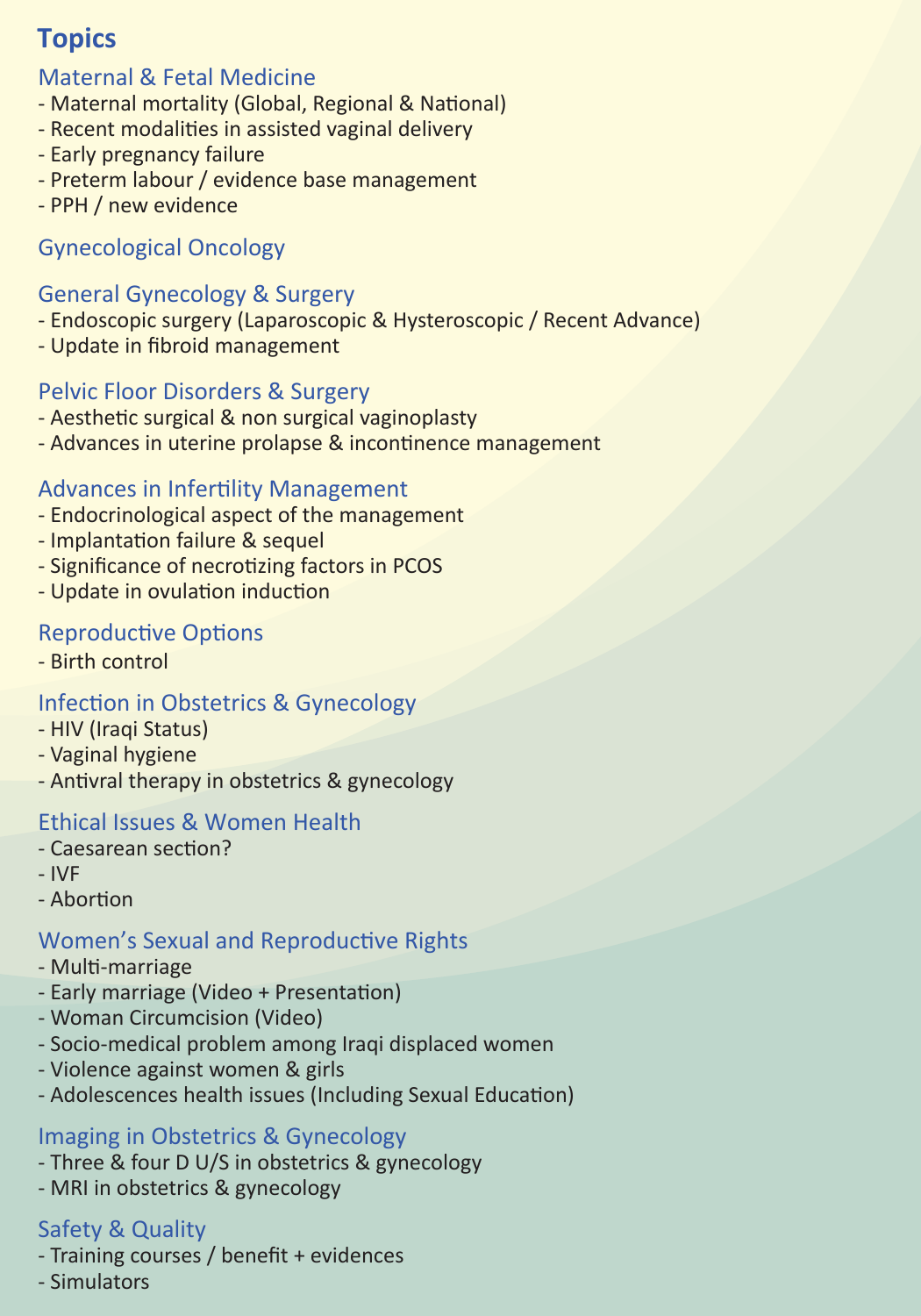# **Topics**

### Maternal & Fetal Medicine

- Maternal mortality (Global, Regional & National)
- Recent modalities in assisted vaginal delivery
- Early pregnancy failure
- Preterm labour / evidence base management
- PPH / new evidence

## Gynecological Oncology

## General Gynecology & Surgery

- Endoscopic surgery (Laparoscopic & Hysteroscopic / Recent Advance)
- Update in fibroid management

## Pelvic Floor Disorders & Surgery

- Aesthetic surgical & non surgical vaginoplasty
- Advances in uterine prolapse & incontinence management

### Advances in Infertility Management

- Endocrinological aspect of the management
- Implantation failure & sequel
- Significance of necrotizing factors in PCOS
- Update in ovulation induction

## Reproductive Options

- Birth control

## Infection in Obstetrics & Gynecology

- HIV (Iraqi Status)
- Vaginal hygiene
- Antivral therapy in obstetrics & gynecology

### Ethical Issues & Women Health

- Caesarean section?
- IVF
- Abortion

## Women's Sexual and Reproductive Rights

- Multi-marriage
- Early marriage (Video + Presentation)
- Woman Circumcision (Video)
- Socio-medical problem among Iraqi displaced women
- Violence against women & girls
- Adolescences health issues (Including Sexual Education)

### Imaging in Obstetrics & Gynecology

- Three & four D U/S in obstetrics & gynecology
- MRI in obstetrics & gynecology

### Safety & Quality

- Training courses / benefit + evidences
- Simulators